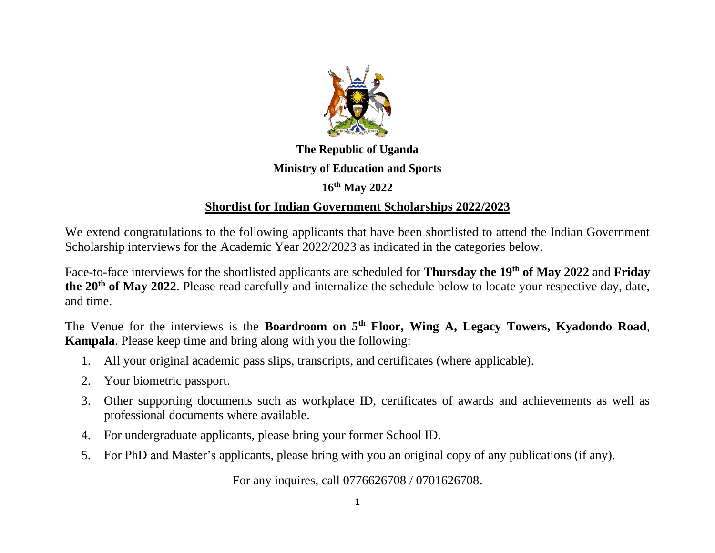

## **The Republic of Uganda Ministry of Education and Sports**

## **16th May 2022**

## **Shortlist for Indian Government Scholarships 2022/2023**

We extend congratulations to the following applicants that have been shortlisted to attend the Indian Government Scholarship interviews for the Academic Year 2022/2023 as indicated in the categories below.

Face-to-face interviews for the shortlisted applicants are scheduled for **Thursday the 19th of May 2022** and **Friday the 20th of May 2022**. Please read carefully and internalize the schedule below to locate your respective day, date, and time.

The Venue for the interviews is the **Boardroom on 5th Floor, Wing A, Legacy Towers, Kyadondo Road**, **Kampala**. Please keep time and bring along with you the following:

- 1. All your original academic pass slips, transcripts, and certificates (where applicable).
- 2. Your biometric passport.
- 3. Other supporting documents such as workplace ID, certificates of awards and achievements as well as professional documents where available.
- 4. For undergraduate applicants, please bring your former School ID.
- 5. For PhD and Master's applicants, please bring with you an original copy of any publications (if any).

For any inquires, call 0776626708 / 0701626708.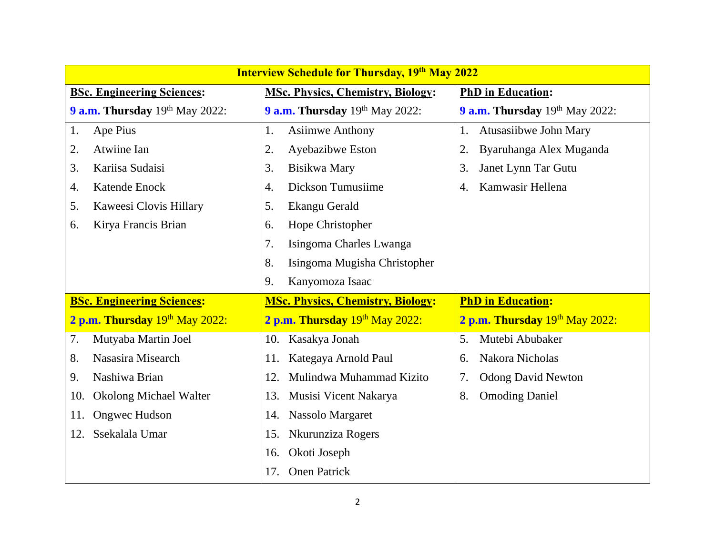| <b>Interview Schedule for Thursday, 19th May 2022</b> |                                          |                                 |
|-------------------------------------------------------|------------------------------------------|---------------------------------|
| <b>BSc. Engineering Sciences:</b>                     | <b>MSc. Physics, Chemistry, Biology:</b> | <b>PhD</b> in Education:        |
| 9 a.m. Thursday 19th May 2022:                        | 9 a.m. Thursday 19th May 2022:           | 9 a.m. Thursday 19th May 2022:  |
| Ape Pius<br>1.                                        | <b>Asiimwe Anthony</b><br>1.             | Atusasiibwe John Mary<br>1.     |
| Atwiine Ian<br>2.                                     | Ayebazibwe Eston<br>2.                   | Byaruhanga Alex Muganda<br>2.   |
| Kariisa Sudaisi<br>3.                                 | Bisikwa Mary<br>3.                       | Janet Lynn Tar Gutu<br>3.       |
| Katende Enock<br>4.                                   | Dickson Tumusiime<br>4.                  | Kamwasir Hellena<br>4.          |
| Kaweesi Clovis Hillary<br>5.                          | Ekangu Gerald<br>5.                      |                                 |
| Kirya Francis Brian<br>6.                             | Hope Christopher<br>6.                   |                                 |
|                                                       | 7.<br>Isingoma Charles Lwanga            |                                 |
|                                                       | 8.<br>Isingoma Mugisha Christopher       |                                 |
|                                                       | 9.<br>Kanyomoza Isaac                    |                                 |
| <b>BSc. Engineering Sciences:</b>                     | <b>MSc. Physics, Chemistry, Biology:</b> | <b>PhD in Education:</b>        |
| 2 p.m. Thursday 19th May 2022:                        | 2 p.m. Thursday 19th May 2022:           | 2 p.m. Thursday 19th May 2022:  |
| 7.<br>Mutyaba Martin Joel                             | Kasakya Jonah<br>10.                     | Mutebi Abubaker<br>5.           |
| Nasasira Misearch<br>8.                               | Kategaya Arnold Paul<br>11.              | Nakora Nicholas<br>6.           |
| Nashiwa Brian<br>9.                                   | Mulindwa Muhammad Kizito<br>12.          | <b>Odong David Newton</b><br>7. |
| <b>Okolong Michael Walter</b><br>10.                  | 13.<br>Musisi Vicent Nakarya             | <b>Omoding Daniel</b><br>8.     |
| <b>Ongwec Hudson</b><br>11.                           | Nassolo Margaret<br>14.                  |                                 |
| Ssekalala Umar<br>12.                                 | Nkurunziza Rogers<br>15.                 |                                 |
|                                                       | Okoti Joseph<br>16.                      |                                 |
|                                                       | <b>Onen Patrick</b><br>17.               |                                 |